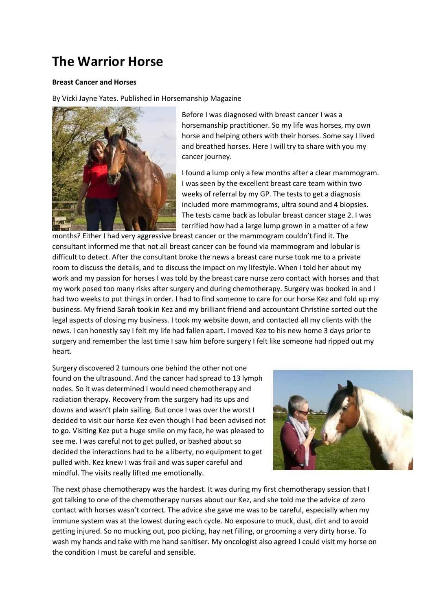## **The Warrior Horse**

## **Breast Cancer and Horses**

By Vicki Jayne Yates. Published in Horsemanship Magazine



Before I was diagnosed with breast cancer I was a horsemanship practitioner. So my life was horses, my own horse and helping others with their horses. Some say I lived and breathed horses. Here I will try to share with you my cancer journey.

I found a lump only a few months after a clear mammogram. I was seen by the excellent breast care team within two weeks of referral by my GP. The tests to get a diagnosis included more mammograms, ultra sound and 4 biopsies. The tests came back as lobular breast cancer stage 2. I was terrified how had a large lump grown in a matter of a few

months? Either I had very aggressive breast cancer or the mammogram couldn't find it. The consultant informed me that not all breast cancer can be found via mammogram and lobular is difficult to detect. After the consultant broke the news a breast care nurse took me to a private room to discuss the details, and to discuss the impact on my lifestyle. When I told her about my work and my passion for horses I was told by the breast care nurse zero contact with horses and that my work posed too many risks after surgery and during chemotherapy. Surgery was booked in and I had two weeks to put things in order. I had to find someone to care for our horse Kez and fold up my business. My friend Sarah took in Kez and my brilliant friend and accountant Christine sorted out the legal aspects of closing my business. I took my website down, and contacted all my clients with the news. I can honestly say I felt my life had fallen apart. I moved Kez to his new home 3 days prior to surgery and remember the last time I saw him before surgery I felt like someone had ripped out my heart.

Surgery discovered 2 tumours one behind the other not one found on the ultrasound. And the cancer had spread to 13 lymph nodes. So it was determined I would need chemotherapy and radiation therapy. Recovery from the surgery had its ups and downs and wasn't plain sailing. But once I was over the worst I decided to visit our horse Kez even though I had been advised not to go. Visiting Kez put a huge smile on my face, he was pleased to see me. I was careful not to get pulled, or bashed about so decided the interactions had to be a liberty, no equipment to get pulled with. Kez knew I was frail and was super careful and mindful. The visits really lifted me emotionally.



The next phase chemotherapy was the hardest. It was during my first chemotherapy session that I got talking to one of the chemotherapy nurses about our Kez, and she told me the advice of zero contact with horses wasn't correct. The advice she gave me was to be careful, especially when my immune system was at the lowest during each cycle. No exposure to muck, dust, dirt and to avoid getting injured. So no mucking out, poo picking, hay net filling, or grooming a very dirty horse. To wash my hands and take with me hand sanitiser. My oncologist also agreed I could visit my horse on the condition I must be careful and sensible.